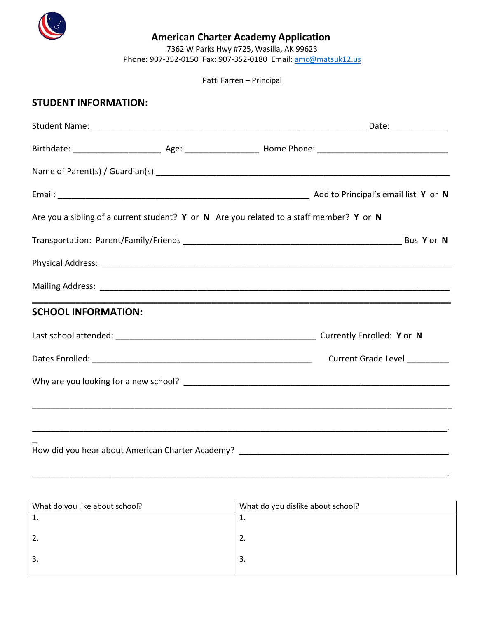

## **American Charter Academy Application**

7362 W Parks Hwy #725, Wasilla, AK 99623

Phone: 907-352-0150 Fax: 907-352-0180 Email: [amc@matsuk12.us](mailto:amc@matsuk12.us) 

Patti Farren – Principal

## **STUDENT INFORMATION:**

|                            |  | Are you a sibling of a current student? Y or N Are you related to a staff member? Y or N |  |  |
|----------------------------|--|------------------------------------------------------------------------------------------|--|--|
|                            |  |                                                                                          |  |  |
|                            |  |                                                                                          |  |  |
|                            |  |                                                                                          |  |  |
| <b>SCHOOL INFORMATION:</b> |  |                                                                                          |  |  |
|                            |  |                                                                                          |  |  |
|                            |  | <b>Current Grade Level</b>                                                               |  |  |
|                            |  |                                                                                          |  |  |
|                            |  |                                                                                          |  |  |
|                            |  |                                                                                          |  |  |
|                            |  |                                                                                          |  |  |

| What do you like about school? | What do you dislike about school? |  |
|--------------------------------|-----------------------------------|--|
| <b>.</b>                       | <b>.</b>                          |  |
|                                |                                   |  |
| 2.                             | z.                                |  |
|                                |                                   |  |
| 3.                             | 3.                                |  |
|                                |                                   |  |

\_\_\_\_\_\_\_\_\_\_\_\_\_\_\_\_\_\_\_\_\_\_\_\_\_\_\_\_\_\_\_\_\_\_\_\_\_\_\_\_\_\_\_\_\_\_\_\_\_\_\_\_\_\_\_\_\_\_\_\_\_\_\_\_\_\_\_\_\_\_\_\_\_\_\_\_\_\_\_\_\_\_\_\_\_\_\_\_\_.